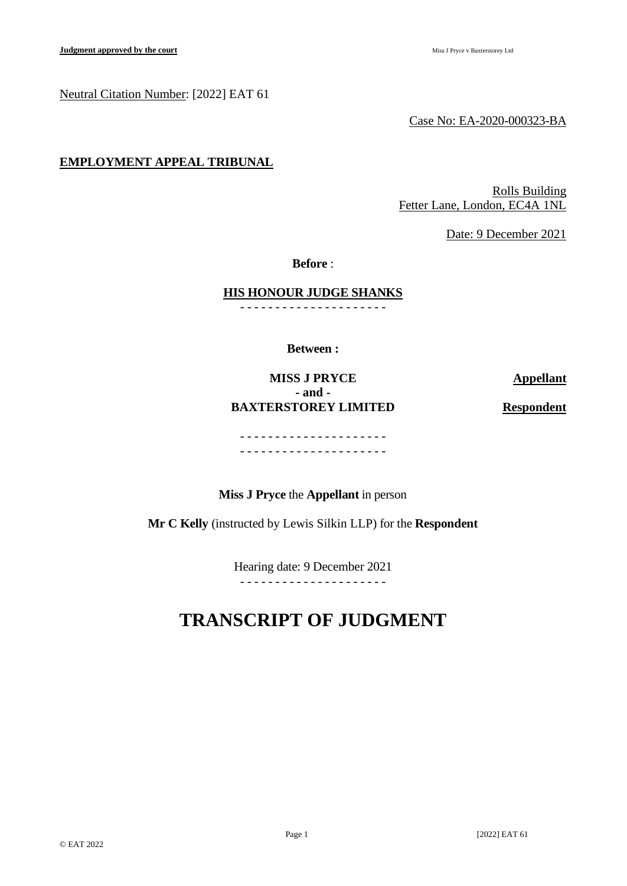#### Neutral Citation Number: [2022] EAT 61

Case No: EA-2020-000323-BA

## **EMPLOYMENT APPEAL TRIBUNAL**

Rolls Building Fetter Lane, London, EC4A 1NL

Date: 9 December 2021

**Before** :

**HIS HONOUR JUDGE SHANKS**

- - - - - - - - - - - - - - - - - - - - -

**Between :**

# **MISS J PRYCE Appellant - and - BAXTERSTOREY LIMITED Respondent**

- - - - - - - - - - - - - - - - - - - - - - - - - - - - - - - - - - - - - - - - - -

**Miss J Pryce** the **Appellant** in person

**Mr C Kelly** (instructed by Lewis Silkin LLP) for the **Respondent**

Hearing date: 9 December 2021 - - - - - - - - - - - - - - - - - - - - -

# **TRANSCRIPT OF JUDGMENT**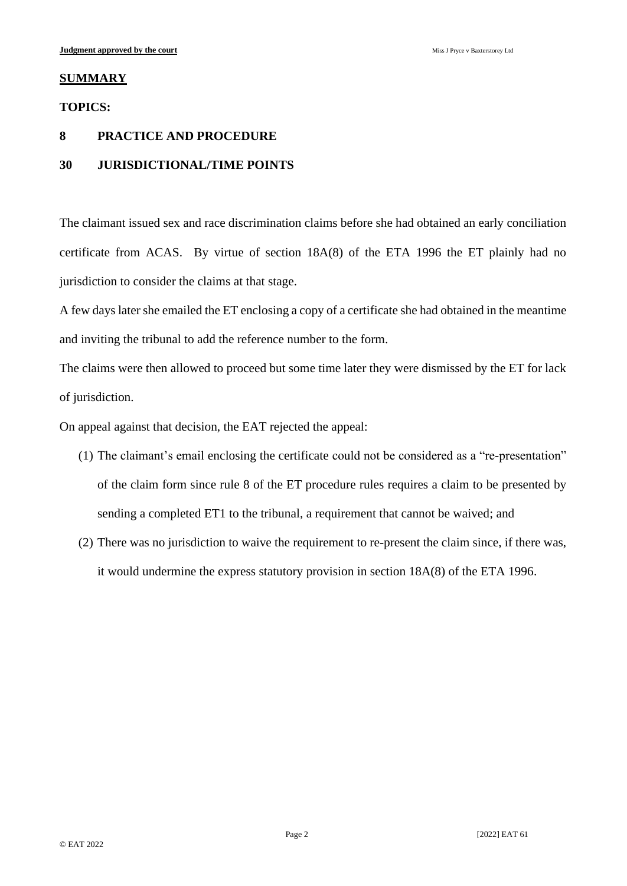#### **SUMMARY**

#### **TOPICS:**

## **8 PRACTICE AND PROCEDURE**

### **30 JURISDICTIONAL/TIME POINTS**

The claimant issued sex and race discrimination claims before she had obtained an early conciliation certificate from ACAS. By virtue of section  $18A(8)$  of the ETA 1996 the ET plainly had no jurisdiction to consider the claims at that stage.

A few days later she emailed the ET enclosing a copy of a certificate she had obtained in the meantime and inviting the tribunal to add the reference number to the form.

The claims were then allowed to proceed but some time later they were dismissed by the ET for lack of jurisdiction.

On appeal against that decision, the EAT rejected the appeal:

- (1) The claimant's email enclosing the certificate could not be considered as a "re-presentation" of the claim form since rule 8 of the ET procedure rules requires a claim to be presented by sending a completed ET1 to the tribunal, a requirement that cannot be waived; and
- (2) There was no jurisdiction to waive the requirement to re-present the claim since, if there was, it would undermine the express statutory provision in section 18A(8) of the ETA 1996.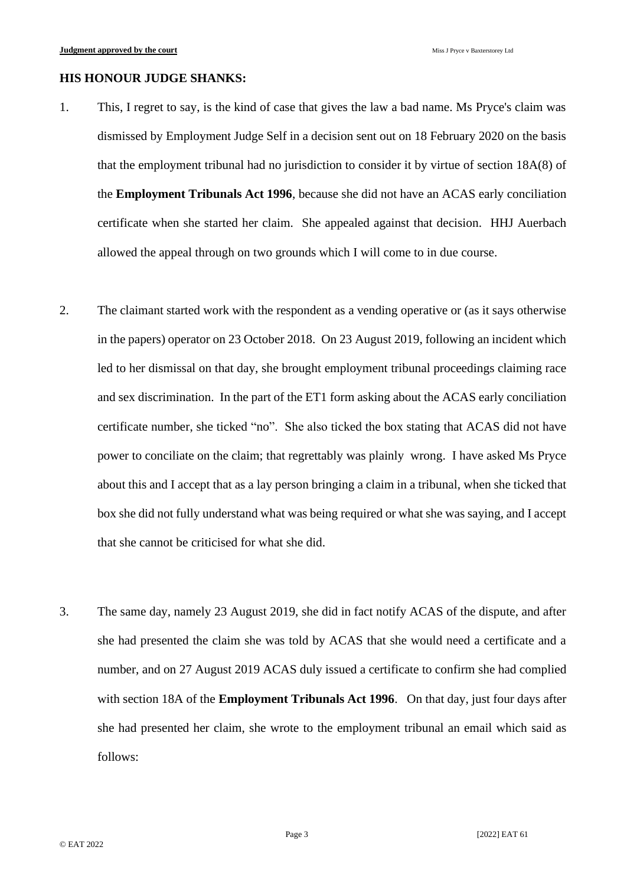## **HIS HONOUR JUDGE SHANKS:**

- 1. This, I regret to say, is the kind of case that gives the law a bad name. Ms Pryce's claim was dismissed by Employment Judge Self in a decision sent out on 18 February 2020 on the basis that the employment tribunal had no jurisdiction to consider it by virtue of section 18A(8) of the **Employment Tribunals Act 1996**, because she did not have an ACAS early conciliation certificate when she started her claim. She appealed against that decision. HHJ Auerbach allowed the appeal through on two grounds which I will come to in due course.
- 2. The claimant started work with the respondent as a vending operative or (as it says otherwise in the papers) operator on 23 October 2018. On 23 August 2019, following an incident which led to her dismissal on that day, she brought employment tribunal proceedings claiming race and sex discrimination. In the part of the ET1 form asking about the ACAS early conciliation certificate number, she ticked "no". She also ticked the box stating that ACAS did not have power to conciliate on the claim; that regrettably was plainly wrong. I have asked Ms Pryce about this and I accept that as a lay person bringing a claim in a tribunal, when she ticked that box she did not fully understand what was being required or what she was saying, and I accept that she cannot be criticised for what she did.
- 3. The same day, namely 23 August 2019, she did in fact notify ACAS of the dispute, and after she had presented the claim she was told by ACAS that she would need a certificate and a number, and on 27 August 2019 ACAS duly issued a certificate to confirm she had complied with section 18A of the **Employment Tribunals Act 1996**. On that day, just four days after she had presented her claim, she wrote to the employment tribunal an email which said as follows: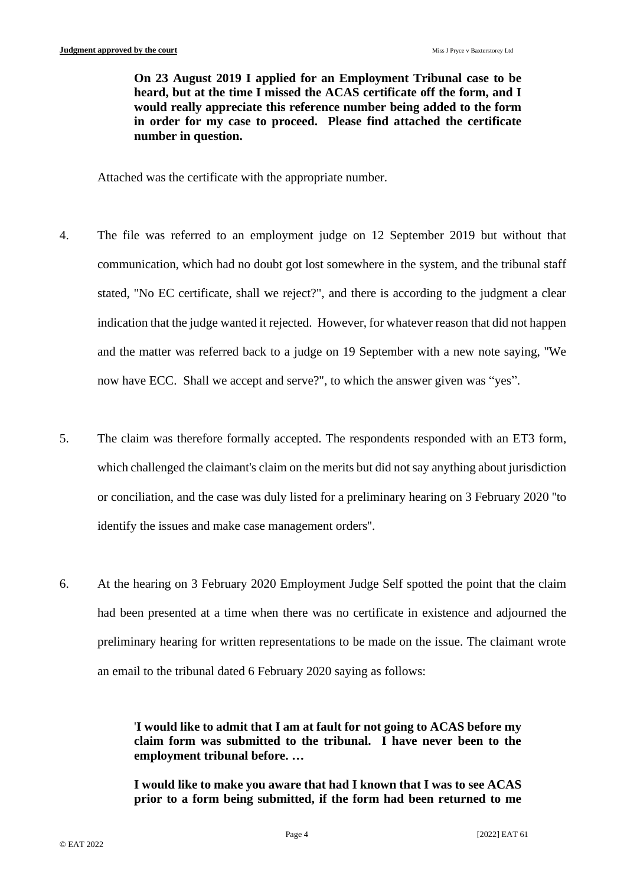**On 23 August 2019 I applied for an Employment Tribunal case to be heard, but at the time I missed the ACAS certificate off the form, and I would really appreciate this reference number being added to the form in order for my case to proceed. Please find attached the certificate number in question.** 

Attached was the certificate with the appropriate number.

- 4. The file was referred to an employment judge on 12 September 2019 but without that communication, which had no doubt got lost somewhere in the system, and the tribunal staff stated, ''No EC certificate, shall we reject?", and there is according to the judgment a clear indication that the judge wanted it rejected. However, for whatever reason that did not happen and the matter was referred back to a judge on 19 September with a new note saying, ''We now have ECC. Shall we accept and serve?", to which the answer given was "yes".
- 5. The claim was therefore formally accepted. The respondents responded with an ET3 form, which challenged the claimant's claim on the merits but did not say anything about jurisdiction or conciliation, and the case was duly listed for a preliminary hearing on 3 February 2020 ''to identify the issues and make case management orders''.
- 6. At the hearing on 3 February 2020 Employment Judge Self spotted the point that the claim had been presented at a time when there was no certificate in existence and adjourned the preliminary hearing for written representations to be made on the issue. The claimant wrote an email to the tribunal dated 6 February 2020 saying as follows:

'**I would like to admit that I am at fault for not going to ACAS before my claim form was submitted to the tribunal. I have never been to the employment tribunal before. …**

**I would like to make you aware that had I known that I was to see ACAS prior to a form being submitted, if the form had been returned to me**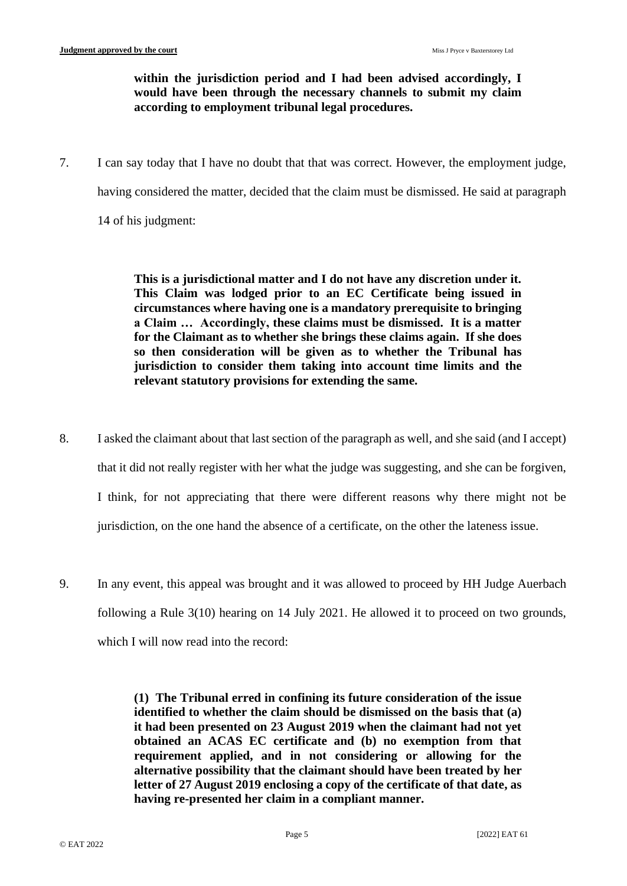# **within the jurisdiction period and I had been advised accordingly, I would have been through the necessary channels to submit my claim according to employment tribunal legal procedures.**

7. I can say today that I have no doubt that that was correct. However, the employment judge, having considered the matter, decided that the claim must be dismissed. He said at paragraph 14 of his judgment:

> **This is a jurisdictional matter and I do not have any discretion under it. This Claim was lodged prior to an EC Certificate being issued in circumstances where having one is a mandatory prerequisite to bringing a Claim … Accordingly, these claims must be dismissed. It is a matter for the Claimant as to whether she brings these claims again. If she does so then consideration will be given as to whether the Tribunal has jurisdiction to consider them taking into account time limits and the relevant statutory provisions for extending the same.**

- 8. I asked the claimant about that last section of the paragraph as well, and she said (and I accept) that it did not really register with her what the judge was suggesting, and she can be forgiven, I think, for not appreciating that there were different reasons why there might not be jurisdiction, on the one hand the absence of a certificate, on the other the lateness issue.
- 9. In any event, this appeal was brought and it was allowed to proceed by HH Judge Auerbach following a Rule 3(10) hearing on 14 July 2021. He allowed it to proceed on two grounds, which I will now read into the record:

**(1) The Tribunal erred in confining its future consideration of the issue identified to whether the claim should be dismissed on the basis that (a) it had been presented on 23 August 2019 when the claimant had not yet obtained an ACAS EC certificate and (b) no exemption from that requirement applied, and in not considering or allowing for the alternative possibility that the claimant should have been treated by her letter of 27 August 2019 enclosing a copy of the certificate of that date, as having re-presented her claim in a compliant manner.**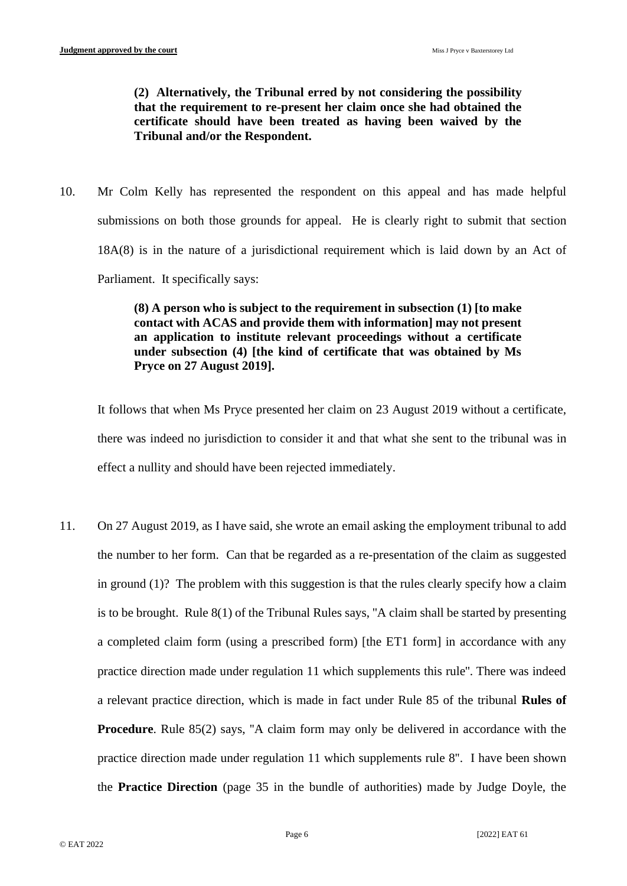**(2) Alternatively, the Tribunal erred by not considering the possibility that the requirement to re-present her claim once she had obtained the certificate should have been treated as having been waived by the Tribunal and/or the Respondent.**

10. Mr Colm Kelly has represented the respondent on this appeal and has made helpful submissions on both those grounds for appeal. He is clearly right to submit that section 18A(8) is in the nature of a jurisdictional requirement which is laid down by an Act of Parliament. It specifically says:

# **(8) A person who is subject to the requirement in subsection (1) [to make contact with ACAS and provide them with information] may not present an application to institute relevant proceedings without a certificate under subsection (4) [the kind of certificate that was obtained by Ms Pryce on 27 August 2019].**

It follows that when Ms Pryce presented her claim on 23 August 2019 without a certificate, there was indeed no jurisdiction to consider it and that what she sent to the tribunal was in effect a nullity and should have been rejected immediately.

11. On 27 August 2019, as I have said, she wrote an email asking the employment tribunal to add the number to her form. Can that be regarded as a re-presentation of the claim as suggested in ground (1)? The problem with this suggestion is that the rules clearly specify how a claim is to be brought. Rule 8(1) of the Tribunal Rules says, ''A claim shall be started by presenting a completed claim form (using a prescribed form) [the ET1 form] in accordance with any practice direction made under regulation 11 which supplements this rule''. There was indeed a relevant practice direction, which is made in fact under Rule 85 of the tribunal **Rules of Procedure**. Rule 85(2) says, "A claim form may only be delivered in accordance with the practice direction made under regulation 11 which supplements rule 8''. I have been shown the **Practice Direction** (page 35 in the bundle of authorities) made by Judge Doyle, the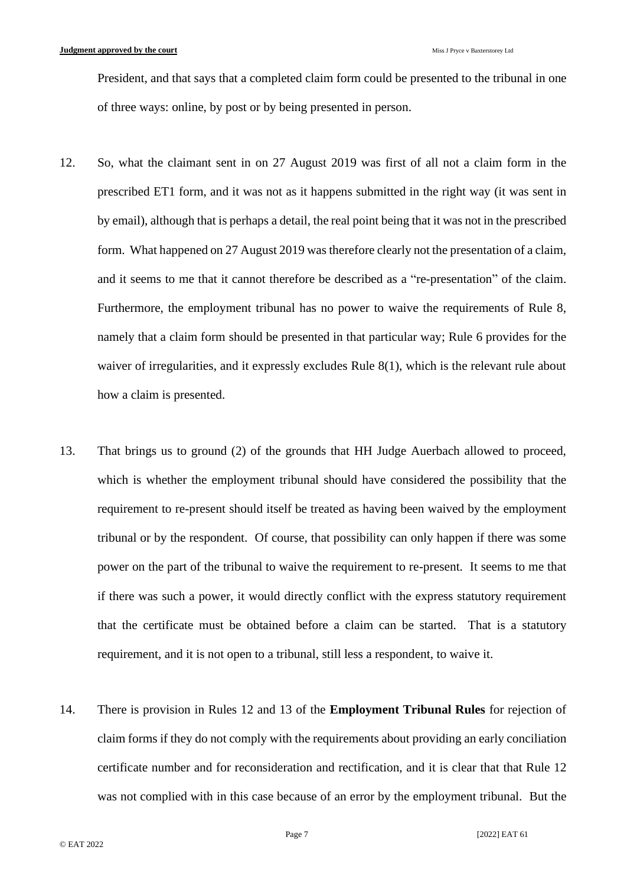President, and that says that a completed claim form could be presented to the tribunal in one of three ways: online, by post or by being presented in person.

- 12. So, what the claimant sent in on 27 August 2019 was first of all not a claim form in the prescribed ET1 form, and it was not as it happens submitted in the right way (it was sent in by email), although that is perhaps a detail, the real point being that it was not in the prescribed form. What happened on 27 August 2019 was therefore clearly not the presentation of a claim, and it seems to me that it cannot therefore be described as a "re-presentation" of the claim. Furthermore, the employment tribunal has no power to waive the requirements of Rule 8, namely that a claim form should be presented in that particular way; Rule 6 provides for the waiver of irregularities, and it expressly excludes Rule 8(1), which is the relevant rule about how a claim is presented.
- 13. That brings us to ground (2) of the grounds that HH Judge Auerbach allowed to proceed, which is whether the employment tribunal should have considered the possibility that the requirement to re-present should itself be treated as having been waived by the employment tribunal or by the respondent. Of course, that possibility can only happen if there was some power on the part of the tribunal to waive the requirement to re-present. It seems to me that if there was such a power, it would directly conflict with the express statutory requirement that the certificate must be obtained before a claim can be started. That is a statutory requirement, and it is not open to a tribunal, still less a respondent, to waive it.
- 14. There is provision in Rules 12 and 13 of the **Employment Tribunal Rules** for rejection of claim forms if they do not comply with the requirements about providing an early conciliation certificate number and for reconsideration and rectification, and it is clear that that Rule 12 was not complied with in this case because of an error by the employment tribunal. But the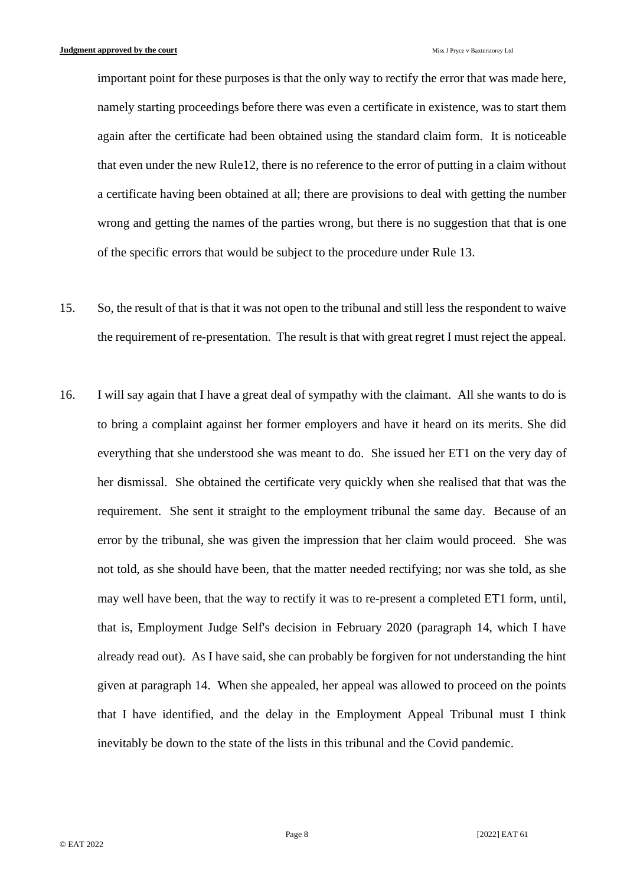important point for these purposes is that the only way to rectify the error that was made here, namely starting proceedings before there was even a certificate in existence, was to start them again after the certificate had been obtained using the standard claim form. It is noticeable that even under the new Rule12, there is no reference to the error of putting in a claim without a certificate having been obtained at all; there are provisions to deal with getting the number wrong and getting the names of the parties wrong, but there is no suggestion that that is one of the specific errors that would be subject to the procedure under Rule 13.

- 15. So, the result of that is that it was not open to the tribunal and still less the respondent to waive the requirement of re-presentation. The result is that with great regret I must reject the appeal.
- 16. I will say again that I have a great deal of sympathy with the claimant. All she wants to do is to bring a complaint against her former employers and have it heard on its merits. She did everything that she understood she was meant to do. She issued her ET1 on the very day of her dismissal. She obtained the certificate very quickly when she realised that that was the requirement. She sent it straight to the employment tribunal the same day. Because of an error by the tribunal, she was given the impression that her claim would proceed. She was not told, as she should have been, that the matter needed rectifying; nor was she told, as she may well have been, that the way to rectify it was to re-present a completed ET1 form, until, that is, Employment Judge Self's decision in February 2020 (paragraph 14, which I have already read out). As I have said, she can probably be forgiven for not understanding the hint given at paragraph 14. When she appealed, her appeal was allowed to proceed on the points that I have identified, and the delay in the Employment Appeal Tribunal must I think inevitably be down to the state of the lists in this tribunal and the Covid pandemic.

Page 8 [2022] EAT 61